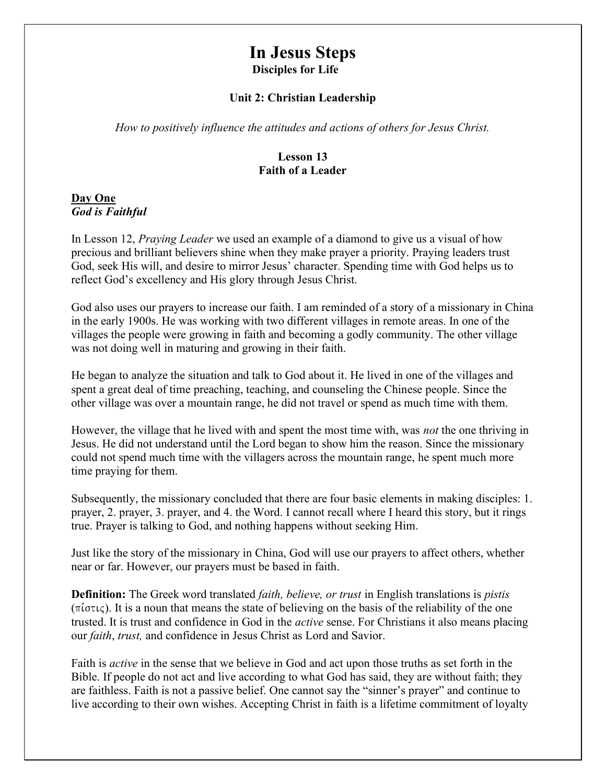# In Jesus Steps Disciples for Life

#### Unit 2: Christian Leadership

How to positively influence the attitudes and actions of others for Jesus Christ.

#### Lesson 13 Faith of a Leader

#### Day One God is Faithful

In Lesson 12, *Praying Leader* we used an example of a diamond to give us a visual of how precious and brilliant believers shine when they make prayer a priority. Praying leaders trust God, seek His will, and desire to mirror Jesus' character. Spending time with God helps us to reflect God's excellency and His glory through Jesus Christ.

God also uses our prayers to increase our faith. I am reminded of a story of a missionary in China in the early 1900s. He was working with two different villages in remote areas. In one of the villages the people were growing in faith and becoming a godly community. The other village was not doing well in maturing and growing in their faith.

He began to analyze the situation and talk to God about it. He lived in one of the villages and spent a great deal of time preaching, teaching, and counseling the Chinese people. Since the other village was over a mountain range, he did not travel or spend as much time with them.

However, the village that he lived with and spent the most time with, was not the one thriving in Jesus. He did not understand until the Lord began to show him the reason. Since the missionary could not spend much time with the villagers across the mountain range, he spent much more time praying for them.

Subsequently, the missionary concluded that there are four basic elements in making disciples: 1. prayer, 2. prayer, 3. prayer, and 4. the Word. I cannot recall where I heard this story, but it rings true. Prayer is talking to God, and nothing happens without seeking Him.

Just like the story of the missionary in China, God will use our prayers to affect others, whether near or far. However, our prayers must be based in faith.

**Definition:** The Greek word translated *faith, believe, or trust* in English translations is *pistis*  $(\pi i \sigma \tau \iota \varsigma)$ . It is a noun that means the state of believing on the basis of the reliability of the one trusted. It is trust and confidence in God in the active sense. For Christians it also means placing our faith, trust, and confidence in Jesus Christ as Lord and Savior.

Faith is active in the sense that we believe in God and act upon those truths as set forth in the Bible. If people do not act and live according to what God has said, they are without faith; they are faithless. Faith is not a passive belief. One cannot say the "sinner's prayer" and continue to live according to their own wishes. Accepting Christ in faith is a lifetime commitment of loyalty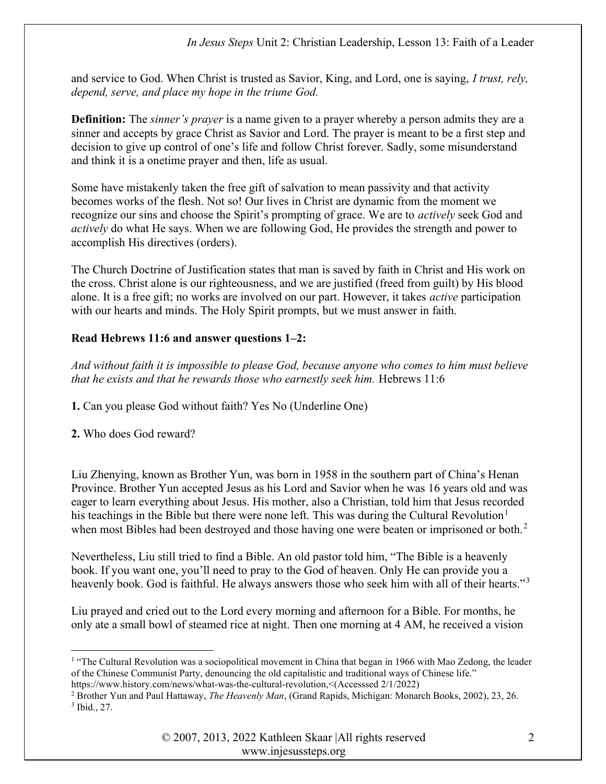and service to God. When Christ is trusted as Savior, King, and Lord, one is saying, I trust, rely, depend, serve, and place my hope in the triune God.

**Definition:** The *sinner's prayer* is a name given to a prayer whereby a person admits they are a sinner and accepts by grace Christ as Savior and Lord. The prayer is meant to be a first step and decision to give up control of one's life and follow Christ forever. Sadly, some misunderstand and think it is a onetime prayer and then, life as usual.

Some have mistakenly taken the free gift of salvation to mean passivity and that activity becomes works of the flesh. Not so! Our lives in Christ are dynamic from the moment we recognize our sins and choose the Spirit's prompting of grace. We are to actively seek God and actively do what He says. When we are following God, He provides the strength and power to accomplish His directives (orders).

The Church Doctrine of Justification states that man is saved by faith in Christ and His work on the cross. Christ alone is our righteousness, and we are justified (freed from guilt) by His blood alone. It is a free gift; no works are involved on our part. However, it takes active participation with our hearts and minds. The Holy Spirit prompts, but we must answer in faith.

### Read Hebrews 11:6 and answer questions 1–2:

And without faith it is impossible to please God, because anyone who comes to him must believe that he exists and that he rewards those who earnestly seek him. Hebrews 11:6

1. Can you please God without faith? Yes No (Underline One)

2. Who does God reward?

Liu Zhenying, known as Brother Yun, was born in 1958 in the southern part of China's Henan Province. Brother Yun accepted Jesus as his Lord and Savior when he was 16 years old and was eager to learn everything about Jesus. His mother, also a Christian, told him that Jesus recorded his teachings in the Bible but there were none left. This was during the Cultural Revolution<sup>1</sup> when most Bibles had been destroyed and those having one were beaten or imprisoned or both.<sup>2</sup>

Nevertheless, Liu still tried to find a Bible. An old pastor told him, "The Bible is a heavenly book. If you want one, you'll need to pray to the God of heaven. Only He can provide you a heavenly book. God is faithful. He always answers those who seek him with all of their hearts."<sup>3</sup>

Liu prayed and cried out to the Lord every morning and afternoon for a Bible. For months, he only ate a small bowl of steamed rice at night. Then one morning at 4 AM, he received a vision

<sup>&</sup>lt;sup>1</sup> "The Cultural Revolution was a sociopolitical movement in China that began in 1966 with Mao Zedong, the leader of the Chinese Communist Party, denouncing the old capitalistic and traditional ways of Chinese life."

https://www.history.com/news/what-was-the-cultural-revolution,<(Accesssed 2/1/2022)

<sup>&</sup>lt;sup>2</sup> Brother Yun and Paul Hattaway, *The Heavenly Man*, (Grand Rapids, Michigan: Monarch Books, 2002), 23, 26. 3 Ibid., 27.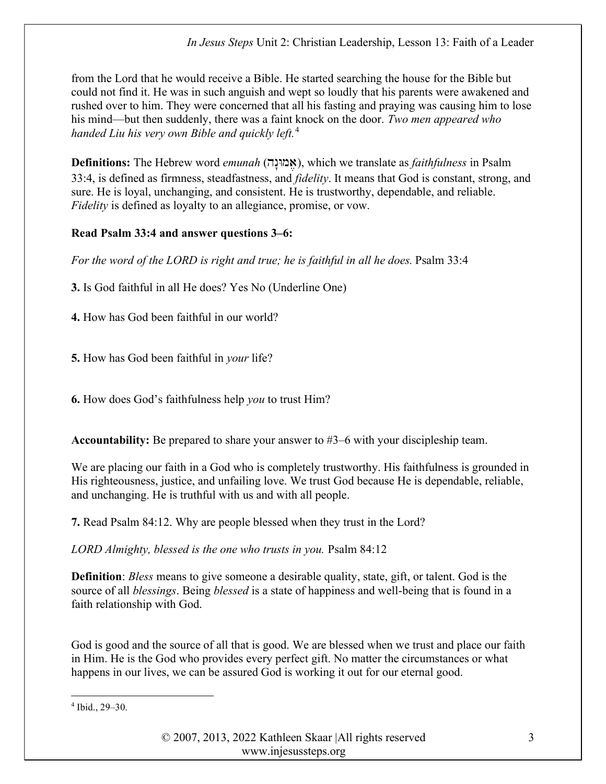In Jesus Steps Unit 2: Christian Leadership, Lesson 13: Faith of a Leader

from the Lord that he would receive a Bible. He started searching the house for the Bible but could not find it. He was in such anguish and wept so loudly that his parents were awakened and rushed over to him. They were concerned that all his fasting and praying was causing him to lose his mind—but then suddenly, there was a faint knock on the door. Two men appeared who handed Liu his very own Bible and quickly left. $4$ 

Definitions: The Hebrew word emunah (אֲמוּנָה), which we translate as *faithfulness* in Psalm 33:4, is defined as firmness, steadfastness, and *fidelity*. It means that God is constant, strong, and sure. He is loyal, unchanging, and consistent. He is trustworthy, dependable, and reliable. Fidelity is defined as loyalty to an allegiance, promise, or vow.

# Read Psalm 33:4 and answer questions 3–6:

For the word of the LORD is right and true; he is faithful in all he does. Psalm 33:4

3. Is God faithful in all He does? Yes No (Underline One)

4. How has God been faithful in our world?

**5.** How has God been faithful in *your* life?

6. How does God's faithfulness help you to trust Him?

Accountability: Be prepared to share your answer to #3–6 with your discipleship team.

We are placing our faith in a God who is completely trustworthy. His faithfulness is grounded in His righteousness, justice, and unfailing love. We trust God because He is dependable, reliable, and unchanging. He is truthful with us and with all people.

7. Read Psalm 84:12. Why are people blessed when they trust in the Lord?

LORD Almighty, blessed is the one who trusts in you. Psalm 84:12

Definition: Bless means to give someone a desirable quality, state, gift, or talent. God is the source of all *blessings*. Being *blessed* is a state of happiness and well-being that is found in a faith relationship with God.

God is good and the source of all that is good. We are blessed when we trust and place our faith in Him. He is the God who provides every perfect gift. No matter the circumstances or what happens in our lives, we can be assured God is working it out for our eternal good.

<sup>4</sup> Ibid., 29–30.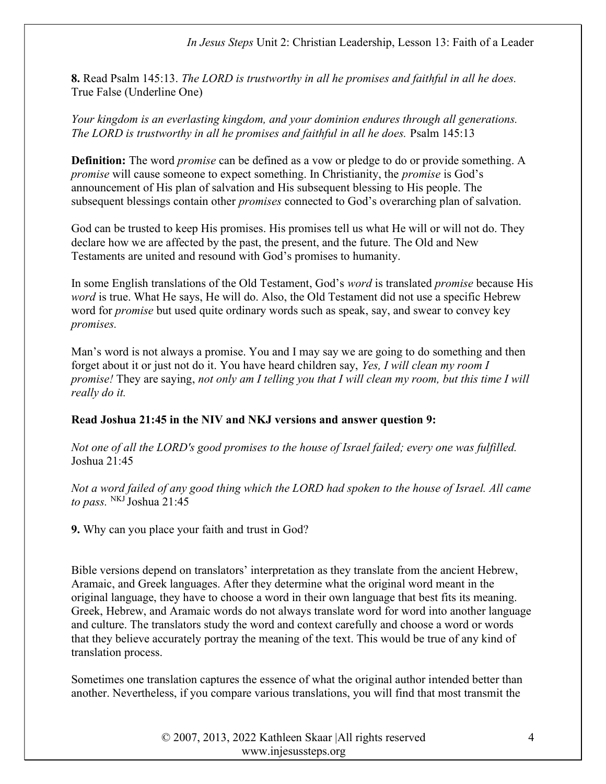In Jesus Steps Unit 2: Christian Leadership, Lesson 13: Faith of a Leader

8. Read Psalm 145:13. The LORD is trustworthy in all he promises and faithful in all he does. True False (Underline One)

Your kingdom is an everlasting kingdom, and your dominion endures through all generations. The LORD is trustworthy in all he promises and faithful in all he does. Psalm 145:13

Definition: The word *promise* can be defined as a vow or pledge to do or provide something. A promise will cause someone to expect something. In Christianity, the promise is God's announcement of His plan of salvation and His subsequent blessing to His people. The subsequent blessings contain other *promises* connected to God's overarching plan of salvation.

God can be trusted to keep His promises. His promises tell us what He will or will not do. They declare how we are affected by the past, the present, and the future. The Old and New Testaments are united and resound with God's promises to humanity.

In some English translations of the Old Testament, God's *word* is translated *promise* because His word is true. What He says, He will do. Also, the Old Testament did not use a specific Hebrew word for promise but used quite ordinary words such as speak, say, and swear to convey key promises.

Man's word is not always a promise. You and I may say we are going to do something and then forget about it or just not do it. You have heard children say, Yes, I will clean my room I promise! They are saying, not only am I telling you that I will clean my room, but this time I will really do it.

#### Read Joshua 21:45 in the NIV and NKJ versions and answer question 9:

Not one of all the LORD's good promises to the house of Israel failed; every one was fulfilled. Joshua 21:45

Not a word failed of any good thing which the LORD had spoken to the house of Israel. All came to pass.  $N<sup>KJ</sup>$  Joshua 21:45

9. Why can you place your faith and trust in God?

Bible versions depend on translators' interpretation as they translate from the ancient Hebrew, Aramaic, and Greek languages. After they determine what the original word meant in the original language, they have to choose a word in their own language that best fits its meaning. Greek, Hebrew, and Aramaic words do not always translate word for word into another language and culture. The translators study the word and context carefully and choose a word or words that they believe accurately portray the meaning of the text. This would be true of any kind of translation process.

Sometimes one translation captures the essence of what the original author intended better than another. Nevertheless, if you compare various translations, you will find that most transmit the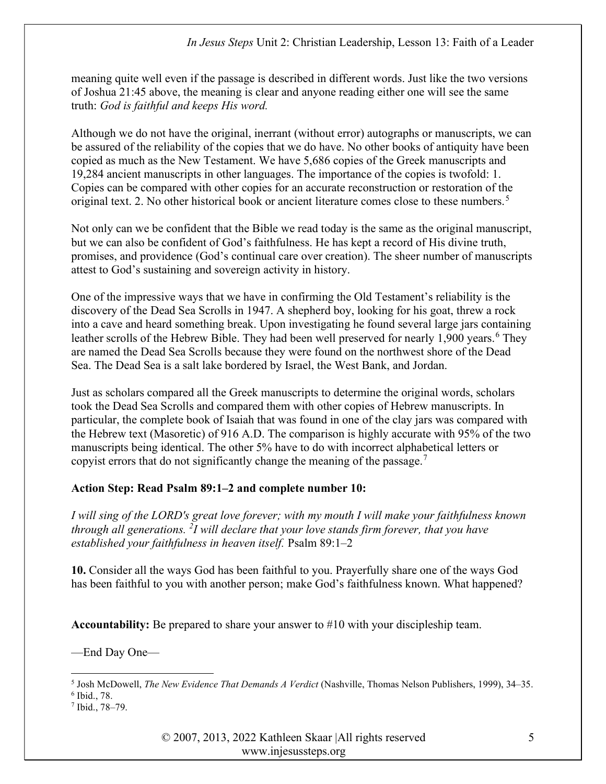meaning quite well even if the passage is described in different words. Just like the two versions of Joshua 21:45 above, the meaning is clear and anyone reading either one will see the same truth: God is faithful and keeps His word.

Although we do not have the original, inerrant (without error) autographs or manuscripts, we can be assured of the reliability of the copies that we do have. No other books of antiquity have been copied as much as the New Testament. We have 5,686 copies of the Greek manuscripts and 19,284 ancient manuscripts in other languages. The importance of the copies is twofold: 1. Copies can be compared with other copies for an accurate reconstruction or restoration of the original text. 2. No other historical book or ancient literature comes close to these numbers.<sup>5</sup>

Not only can we be confident that the Bible we read today is the same as the original manuscript, but we can also be confident of God's faithfulness. He has kept a record of His divine truth, promises, and providence (God's continual care over creation). The sheer number of manuscripts attest to God's sustaining and sovereign activity in history.

One of the impressive ways that we have in confirming the Old Testament's reliability is the discovery of the Dead Sea Scrolls in 1947. A shepherd boy, looking for his goat, threw a rock into a cave and heard something break. Upon investigating he found several large jars containing leather scrolls of the Hebrew Bible. They had been well preserved for nearly 1,900 years.<sup>6</sup> They are named the Dead Sea Scrolls because they were found on the northwest shore of the Dead Sea. The Dead Sea is a salt lake bordered by Israel, the West Bank, and Jordan.

Just as scholars compared all the Greek manuscripts to determine the original words, scholars took the Dead Sea Scrolls and compared them with other copies of Hebrew manuscripts. In particular, the complete book of Isaiah that was found in one of the clay jars was compared with the Hebrew text (Masoretic) of 916 A.D. The comparison is highly accurate with 95% of the two manuscripts being identical. The other 5% have to do with incorrect alphabetical letters or copyist errors that do not significantly change the meaning of the passage.<sup>7</sup>

# Action Step: Read Psalm 89:1–2 and complete number 10:

I will sing of the LORD's great love forever; with my mouth I will make your faithfulness known through all generations. <sup>2</sup>I will declare that your love stands firm forever, that you have established your faithfulness in heaven itself. Psalm 89:1–2

10. Consider all the ways God has been faithful to you. Prayerfully share one of the ways God has been faithful to you with another person; make God's faithfulness known. What happened?

Accountability: Be prepared to share your answer to #10 with your discipleship team.

—End Day One—

© 2007, 2013, 2022 Kathleen Skaar |All rights reserved www.injesussteps.org

<sup>&</sup>lt;sup>5</sup> Josh McDowell, *The New Evidence That Demands A Verdict* (Nashville, Thomas Nelson Publishers, 1999), 34–35.

<sup>6</sup> Ibid., 78.

<sup>7</sup> Ibid., 78–79.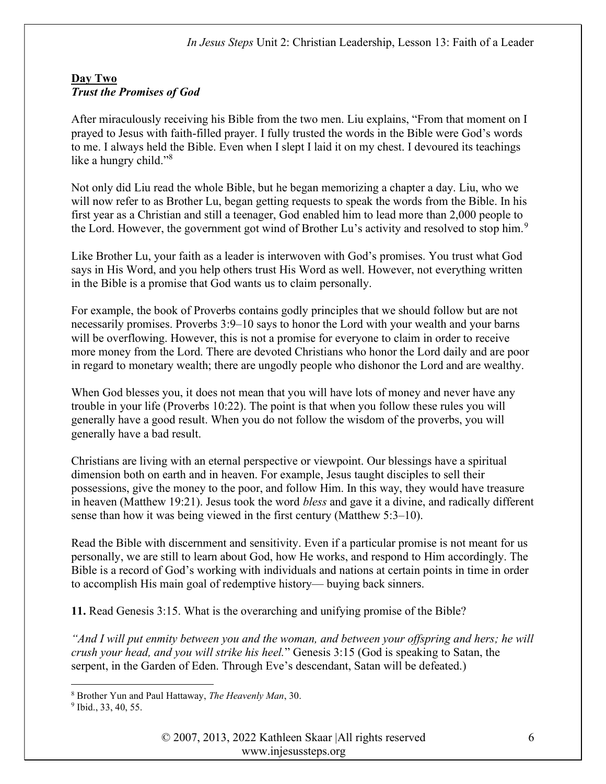#### Day Two Trust the Promises of God

After miraculously receiving his Bible from the two men. Liu explains, "From that moment on I prayed to Jesus with faith-filled prayer. I fully trusted the words in the Bible were God's words to me. I always held the Bible. Even when I slept I laid it on my chest. I devoured its teachings like a hungry child."<sup>8</sup>

Not only did Liu read the whole Bible, but he began memorizing a chapter a day. Liu, who we will now refer to as Brother Lu, began getting requests to speak the words from the Bible. In his first year as a Christian and still a teenager, God enabled him to lead more than 2,000 people to the Lord. However, the government got wind of Brother Lu's activity and resolved to stop him.<sup>9</sup>

Like Brother Lu, your faith as a leader is interwoven with God's promises. You trust what God says in His Word, and you help others trust His Word as well. However, not everything written in the Bible is a promise that God wants us to claim personally.

For example, the book of Proverbs contains godly principles that we should follow but are not necessarily promises. Proverbs 3:9–10 says to honor the Lord with your wealth and your barns will be overflowing. However, this is not a promise for everyone to claim in order to receive more money from the Lord. There are devoted Christians who honor the Lord daily and are poor in regard to monetary wealth; there are ungodly people who dishonor the Lord and are wealthy.

When God blesses you, it does not mean that you will have lots of money and never have any trouble in your life (Proverbs 10:22). The point is that when you follow these rules you will generally have a good result. When you do not follow the wisdom of the proverbs, you will generally have a bad result.

Christians are living with an eternal perspective or viewpoint. Our blessings have a spiritual dimension both on earth and in heaven. For example, Jesus taught disciples to sell their possessions, give the money to the poor, and follow Him. In this way, they would have treasure in heaven (Matthew 19:21). Jesus took the word bless and gave it a divine, and radically different sense than how it was being viewed in the first century (Matthew 5:3–10).

Read the Bible with discernment and sensitivity. Even if a particular promise is not meant for us personally, we are still to learn about God, how He works, and respond to Him accordingly. The Bible is a record of God's working with individuals and nations at certain points in time in order to accomplish His main goal of redemptive history— buying back sinners.

11. Read Genesis 3:15. What is the overarching and unifying promise of the Bible?

"And I will put enmity between you and the woman, and between your offspring and hers; he will crush your head, and you will strike his heel." Genesis 3:15 (God is speaking to Satan, the serpent, in the Garden of Eden. Through Eve's descendant, Satan will be defeated.)

<sup>&</sup>lt;sup>8</sup> Brother Yun and Paul Hattaway, The Heavenly Man, 30.

<sup>&</sup>lt;sup>9</sup> Ibid., 33, 40, 55.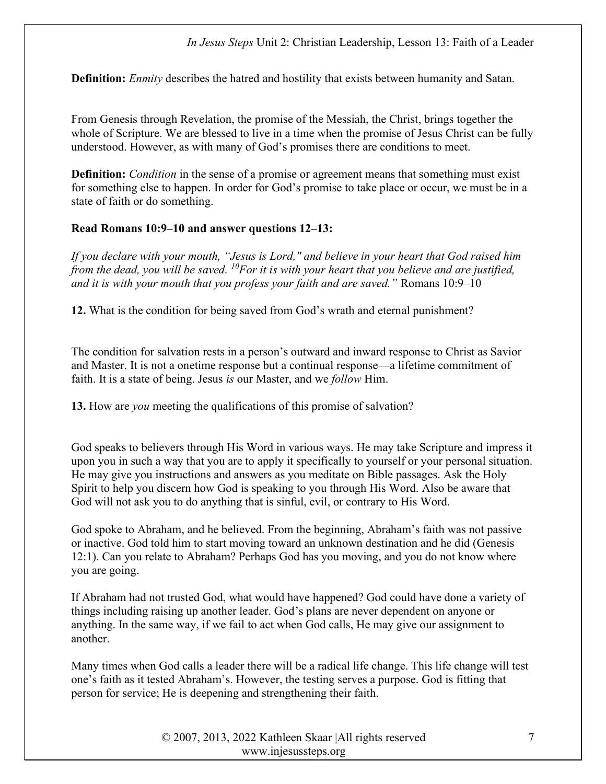**Definition:** *Enmity* describes the hatred and hostility that exists between humanity and Satan.

From Genesis through Revelation, the promise of the Messiah, the Christ, brings together the whole of Scripture. We are blessed to live in a time when the promise of Jesus Christ can be fully understood. However, as with many of God's promises there are conditions to meet.

**Definition:** *Condition* in the sense of a promise or agreement means that something must exist for something else to happen. In order for God's promise to take place or occur, we must be in a state of faith or do something.

#### Read Romans 10:9–10 and answer questions 12–13:

If you declare with your mouth, "Jesus is Lord," and believe in your heart that God raised him from the dead, you will be saved.  $^{10}$  For it is with your heart that you believe and are justified, and it is with your mouth that you profess your faith and are saved." Romans 10:9–10

12. What is the condition for being saved from God's wrath and eternal punishment?

The condition for salvation rests in a person's outward and inward response to Christ as Savior and Master. It is not a onetime response but a continual response—a lifetime commitment of faith. It is a state of being. Jesus is our Master, and we *follow* Him.

13. How are you meeting the qualifications of this promise of salvation?

God speaks to believers through His Word in various ways. He may take Scripture and impress it upon you in such a way that you are to apply it specifically to yourself or your personal situation. He may give you instructions and answers as you meditate on Bible passages. Ask the Holy Spirit to help you discern how God is speaking to you through His Word. Also be aware that God will not ask you to do anything that is sinful, evil, or contrary to His Word.

God spoke to Abraham, and he believed. From the beginning, Abraham's faith was not passive or inactive. God told him to start moving toward an unknown destination and he did (Genesis 12:1). Can you relate to Abraham? Perhaps God has you moving, and you do not know where you are going.

If Abraham had not trusted God, what would have happened? God could have done a variety of things including raising up another leader. God's plans are never dependent on anyone or anything. In the same way, if we fail to act when God calls, He may give our assignment to another.

Many times when God calls a leader there will be a radical life change. This life change will test one's faith as it tested Abraham's. However, the testing serves a purpose. God is fitting that person for service; He is deepening and strengthening their faith.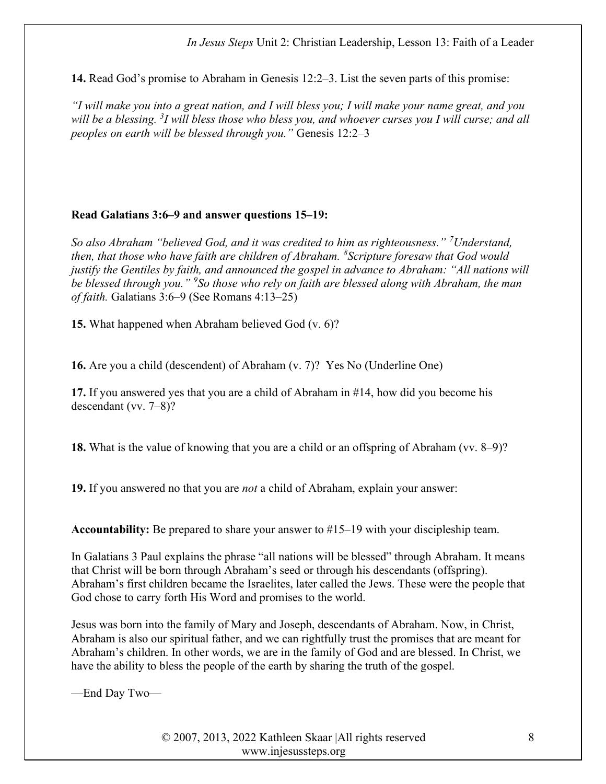#### In Jesus Steps Unit 2: Christian Leadership, Lesson 13: Faith of a Leader

14. Read God's promise to Abraham in Genesis 12:2–3. List the seven parts of this promise:

"I will make you into a great nation, and I will bless you; I will make your name great, and you will be a blessing. <sup>3</sup>I will bless those who bless you, and whoever curses you I will curse; and all peoples on earth will be blessed through you." Genesis 12:2–3

#### Read Galatians 3:6–9 and answer questions 15–19:

So also Abraham "believed God, and it was credited to him as righteousness." <sup>7</sup>Understand, then, that those who have faith are children of Abraham.  ${}^{8}$ Scripture foresaw that God would justify the Gentiles by faith, and announced the gospel in advance to Abraham: "All nations will be blessed through you." <sup>9</sup>So those who rely on faith are blessed along with Abraham, the man of faith. Galatians 3:6–9 (See Romans 4:13–25)

15. What happened when Abraham believed God (v. 6)?

16. Are you a child (descendent) of Abraham (v. 7)? Yes No (Underline One)

17. If you answered yes that you are a child of Abraham in #14, how did you become his descendant (vv. 7–8)?

18. What is the value of knowing that you are a child or an offspring of Abraham (vv. 8–9)?

19. If you answered no that you are *not* a child of Abraham, explain your answer:

Accountability: Be prepared to share your answer to #15–19 with your discipleship team.

In Galatians 3 Paul explains the phrase "all nations will be blessed" through Abraham. It means that Christ will be born through Abraham's seed or through his descendants (offspring). Abraham's first children became the Israelites, later called the Jews. These were the people that God chose to carry forth His Word and promises to the world.

Jesus was born into the family of Mary and Joseph, descendants of Abraham. Now, in Christ, Abraham is also our spiritual father, and we can rightfully trust the promises that are meant for Abraham's children. In other words, we are in the family of God and are blessed. In Christ, we have the ability to bless the people of the earth by sharing the truth of the gospel.

—End Day Two—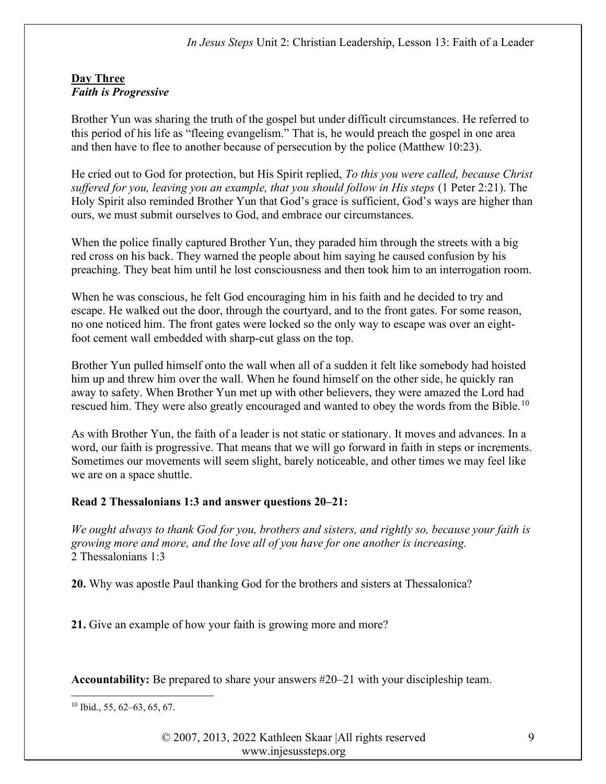#### Day Three Faith is Progressive

Brother Yun was sharing the truth of the gospel but under difficult circumstances. He referred to this period of his life as "fleeing evangelism." That is, he would preach the gospel in one area and then have to flee to another because of persecution by the police (Matthew 10:23).

He cried out to God for protection, but His Spirit replied, To this you were called, because Christ suffered for you, leaving you an example, that you should follow in His steps (1 Peter 2:21). The Holy Spirit also reminded Brother Yun that God's grace is sufficient, God's ways are higher than ours, we must submit ourselves to God, and embrace our circumstances.

When the police finally captured Brother Yun, they paraded him through the streets with a big red cross on his back. They warned the people about him saying he caused confusion by his preaching. They beat him until he lost consciousness and then took him to an interrogation room.

When he was conscious, he felt God encouraging him in his faith and he decided to try and escape. He walked out the door, through the courtyard, and to the front gates. For some reason, no one noticed him. The front gates were locked so the only way to escape was over an eightfoot cement wall embedded with sharp-cut glass on the top.

Brother Yun pulled himself onto the wall when all of a sudden it felt like somebody had hoisted him up and threw him over the wall. When he found himself on the other side, he quickly ran away to safety. When Brother Yun met up with other believers, they were amazed the Lord had rescued him. They were also greatly encouraged and wanted to obey the words from the Bible.<sup>10</sup>

As with Brother Yun, the faith of a leader is not static or stationary. It moves and advances. In a word, our faith is progressive. That means that we will go forward in faith in steps or increments. Sometimes our movements will seem slight, barely noticeable, and other times we may feel like we are on a space shuttle.

# Read 2 Thessalonians 1:3 and answer questions 20–21:

We ought always to thank God for you, brothers and sisters, and rightly so, because your faith is growing more and more, and the love all of you have for one another is increasing. 2 Thessalonians 1:3

20. Why was apostle Paul thanking God for the brothers and sisters at Thessalonica?

21. Give an example of how your faith is growing more and more?

Accountability: Be prepared to share your answers #20–21 with your discipleship team.

 $10$  Ibid., 55, 62–63, 65, 67.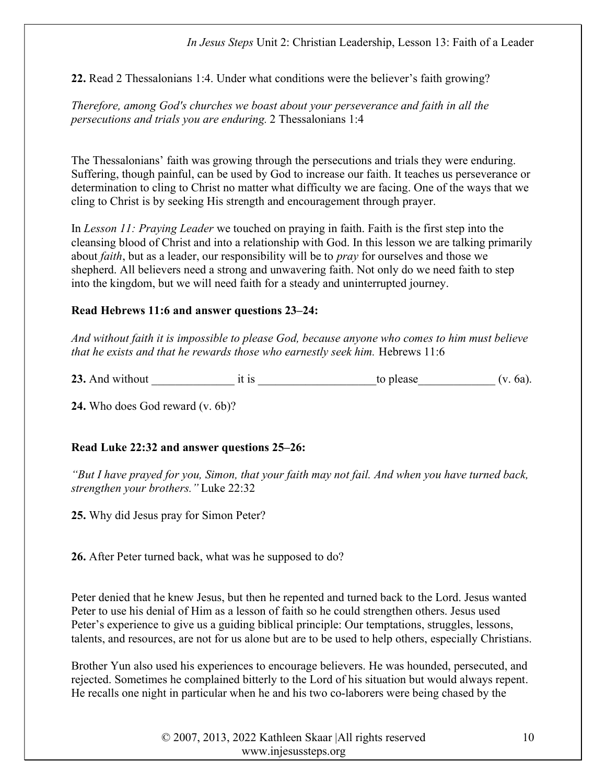#### In Jesus Steps Unit 2: Christian Leadership, Lesson 13: Faith of a Leader

22. Read 2 Thessalonians 1:4. Under what conditions were the believer's faith growing?

Therefore, among God's churches we boast about your perseverance and faith in all the persecutions and trials you are enduring. 2 Thessalonians 1:4

The Thessalonians' faith was growing through the persecutions and trials they were enduring. Suffering, though painful, can be used by God to increase our faith. It teaches us perseverance or determination to cling to Christ no matter what difficulty we are facing. One of the ways that we cling to Christ is by seeking His strength and encouragement through prayer.

In Lesson 11: Praying Leader we touched on praying in faith. Faith is the first step into the cleansing blood of Christ and into a relationship with God. In this lesson we are talking primarily about *faith*, but as a leader, our responsibility will be to *pray* for ourselves and those we shepherd. All believers need a strong and unwavering faith. Not only do we need faith to step into the kingdom, but we will need faith for a steady and uninterrupted journey.

### Read Hebrews 11:6 and answer questions 23–24:

And without faith it is impossible to please God, because anyone who comes to him must believe that he exists and that he rewards those who earnestly seek him. Hebrews 11:6

23. And without  $\qquad \qquad$  it is  $\qquad \qquad$  to please  $(v. 6a)$ .

24. Who does God reward (v. 6b)?

# Read Luke 22:32 and answer questions 25–26:

"But I have prayed for you, Simon, that your faith may not fail. And when you have turned back, strengthen your brothers." Luke 22:32

25. Why did Jesus pray for Simon Peter?

26. After Peter turned back, what was he supposed to do?

Peter denied that he knew Jesus, but then he repented and turned back to the Lord. Jesus wanted Peter to use his denial of Him as a lesson of faith so he could strengthen others. Jesus used Peter's experience to give us a guiding biblical principle: Our temptations, struggles, lessons, talents, and resources, are not for us alone but are to be used to help others, especially Christians.

Brother Yun also used his experiences to encourage believers. He was hounded, persecuted, and rejected. Sometimes he complained bitterly to the Lord of his situation but would always repent. He recalls one night in particular when he and his two co-laborers were being chased by the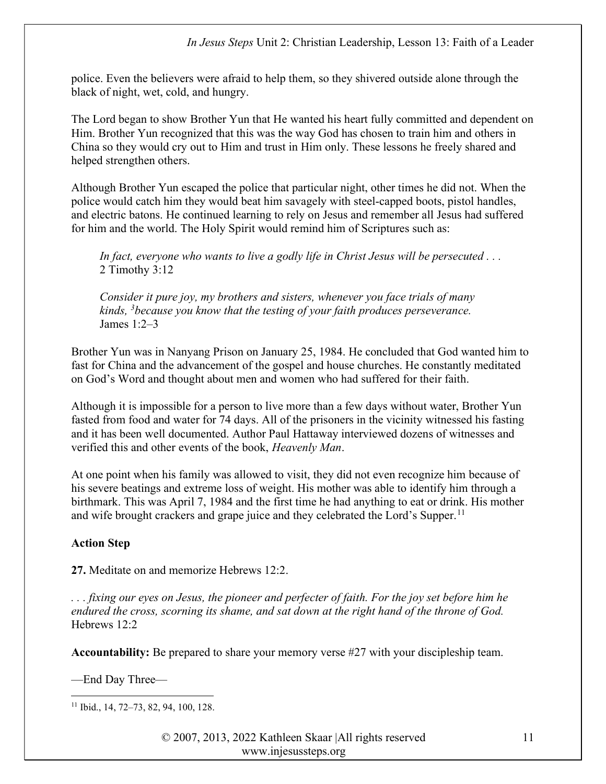police. Even the believers were afraid to help them, so they shivered outside alone through the black of night, wet, cold, and hungry.

The Lord began to show Brother Yun that He wanted his heart fully committed and dependent on Him. Brother Yun recognized that this was the way God has chosen to train him and others in China so they would cry out to Him and trust in Him only. These lessons he freely shared and helped strengthen others.

Although Brother Yun escaped the police that particular night, other times he did not. When the police would catch him they would beat him savagely with steel-capped boots, pistol handles, and electric batons. He continued learning to rely on Jesus and remember all Jesus had suffered for him and the world. The Holy Spirit would remind him of Scriptures such as:

In fact, everyone who wants to live a godly life in Christ Jesus will be persecuted ... 2 Timothy 3:12

Consider it pure joy, my brothers and sisters, whenever you face trials of many kinds,  $3$  because you know that the testing of your faith produces perseverance. James 1:2–3

Brother Yun was in Nanyang Prison on January 25, 1984. He concluded that God wanted him to fast for China and the advancement of the gospel and house churches. He constantly meditated on God's Word and thought about men and women who had suffered for their faith.

Although it is impossible for a person to live more than a few days without water, Brother Yun fasted from food and water for 74 days. All of the prisoners in the vicinity witnessed his fasting and it has been well documented. Author Paul Hattaway interviewed dozens of witnesses and verified this and other events of the book, Heavenly Man.

At one point when his family was allowed to visit, they did not even recognize him because of his severe beatings and extreme loss of weight. His mother was able to identify him through a birthmark. This was April 7, 1984 and the first time he had anything to eat or drink. His mother and wife brought crackers and grape juice and they celebrated the Lord's Supper.<sup>11</sup>

# Action Step

27. Meditate on and memorize Hebrews 12:2.

. . . fixing our eyes on Jesus, the pioneer and perfecter of faith. For the joy set before him he endured the cross, scorning its shame, and sat down at the right hand of the throne of God. Hebrews 12:2

Accountability: Be prepared to share your memory verse #27 with your discipleship team.

—End Day Three—

11 Ibid., 14, 72–73, 82, 94, 100, 128.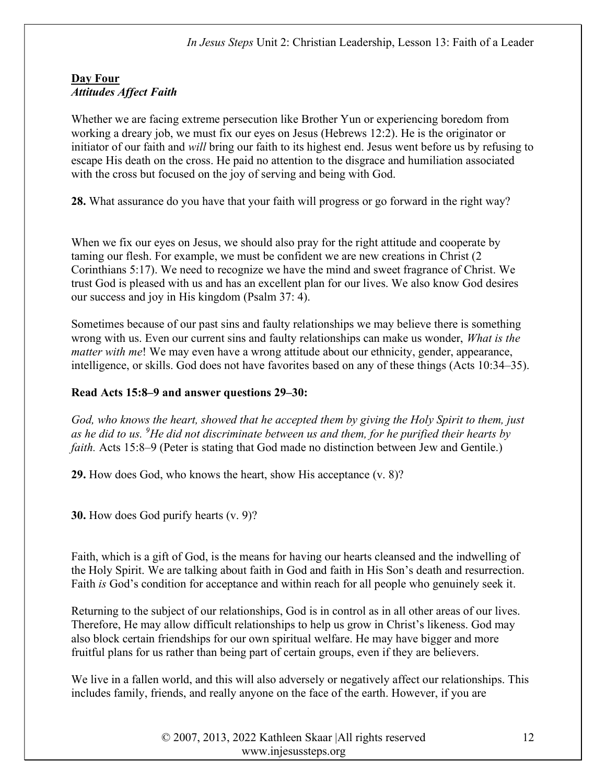#### Day Four Attitudes Affect Faith

Whether we are facing extreme persecution like Brother Yun or experiencing boredom from working a dreary job, we must fix our eyes on Jesus (Hebrews 12:2). He is the originator or initiator of our faith and will bring our faith to its highest end. Jesus went before us by refusing to escape His death on the cross. He paid no attention to the disgrace and humiliation associated with the cross but focused on the joy of serving and being with God.

28. What assurance do you have that your faith will progress or go forward in the right way?

When we fix our eyes on Jesus, we should also pray for the right attitude and cooperate by taming our flesh. For example, we must be confident we are new creations in Christ (2 Corinthians 5:17). We need to recognize we have the mind and sweet fragrance of Christ. We trust God is pleased with us and has an excellent plan for our lives. We also know God desires our success and joy in His kingdom (Psalm 37: 4).

Sometimes because of our past sins and faulty relationships we may believe there is something wrong with us. Even our current sins and faulty relationships can make us wonder, *What is the* matter with me! We may even have a wrong attitude about our ethnicity, gender, appearance, intelligence, or skills. God does not have favorites based on any of these things (Acts 10:34–35).

### Read Acts 15:8–9 and answer questions 29–30:

God, who knows the heart, showed that he accepted them by giving the Holy Spirit to them, just as he did to us. <sup>9</sup>He did not discriminate between us and them, for he purified their hearts by faith. Acts 15:8–9 (Peter is stating that God made no distinction between Jew and Gentile.)

29. How does God, who knows the heart, show His acceptance (v. 8)?

30. How does God purify hearts (v. 9)?

Faith, which is a gift of God, is the means for having our hearts cleansed and the indwelling of the Holy Spirit. We are talking about faith in God and faith in His Son's death and resurrection. Faith is God's condition for acceptance and within reach for all people who genuinely seek it.

Returning to the subject of our relationships, God is in control as in all other areas of our lives. Therefore, He may allow difficult relationships to help us grow in Christ's likeness. God may also block certain friendships for our own spiritual welfare. He may have bigger and more fruitful plans for us rather than being part of certain groups, even if they are believers.

We live in a fallen world, and this will also adversely or negatively affect our relationships. This includes family, friends, and really anyone on the face of the earth. However, if you are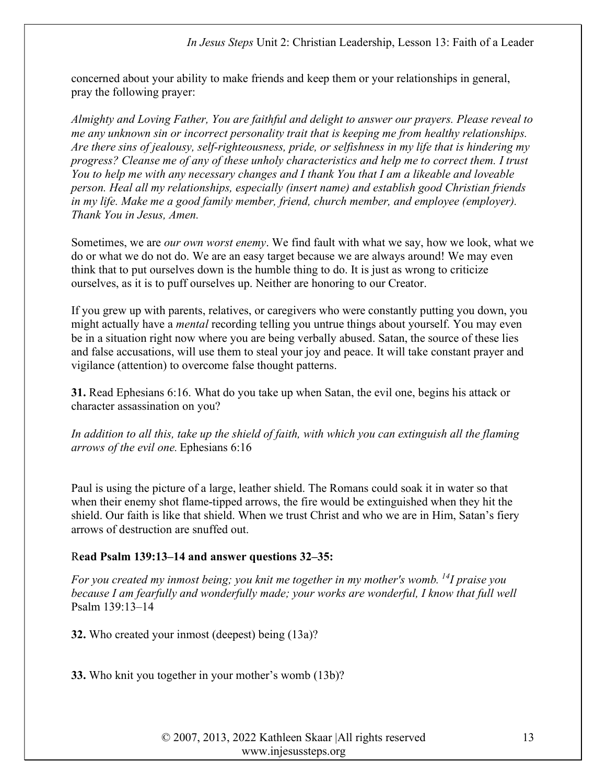concerned about your ability to make friends and keep them or your relationships in general, pray the following prayer:

Almighty and Loving Father, You are faithful and delight to answer our prayers. Please reveal to me any unknown sin or incorrect personality trait that is keeping me from healthy relationships. Are there sins of jealousy, self-righteousness, pride, or selfishness in my life that is hindering my progress? Cleanse me of any of these unholy characteristics and help me to correct them. I trust You to help me with any necessary changes and I thank You that I am a likeable and loveable person. Heal all my relationships, especially (insert name) and establish good Christian friends in my life. Make me a good family member, friend, church member, and employee (employer). Thank You in Jesus, Amen.

Sometimes, we are our own worst enemy. We find fault with what we say, how we look, what we do or what we do not do. We are an easy target because we are always around! We may even think that to put ourselves down is the humble thing to do. It is just as wrong to criticize ourselves, as it is to puff ourselves up. Neither are honoring to our Creator.

If you grew up with parents, relatives, or caregivers who were constantly putting you down, you might actually have a *mental* recording telling you untrue things about yourself. You may even be in a situation right now where you are being verbally abused. Satan, the source of these lies and false accusations, will use them to steal your joy and peace. It will take constant prayer and vigilance (attention) to overcome false thought patterns.

31. Read Ephesians 6:16. What do you take up when Satan, the evil one, begins his attack or character assassination on you?

In addition to all this, take up the shield of faith, with which you can extinguish all the flaming arrows of the evil one. Ephesians 6:16

Paul is using the picture of a large, leather shield. The Romans could soak it in water so that when their enemy shot flame-tipped arrows, the fire would be extinguished when they hit the shield. Our faith is like that shield. When we trust Christ and who we are in Him, Satan's fiery arrows of destruction are snuffed out.

# Read Psalm 139:13–14 and answer questions 32–35:

For you created my inmost being; you knit me together in my mother's womb. <sup>14</sup>I praise you because I am fearfully and wonderfully made; your works are wonderful, I know that full well Psalm 139:13–14

32. Who created your inmost (deepest) being (13a)?

33. Who knit you together in your mother's womb (13b)?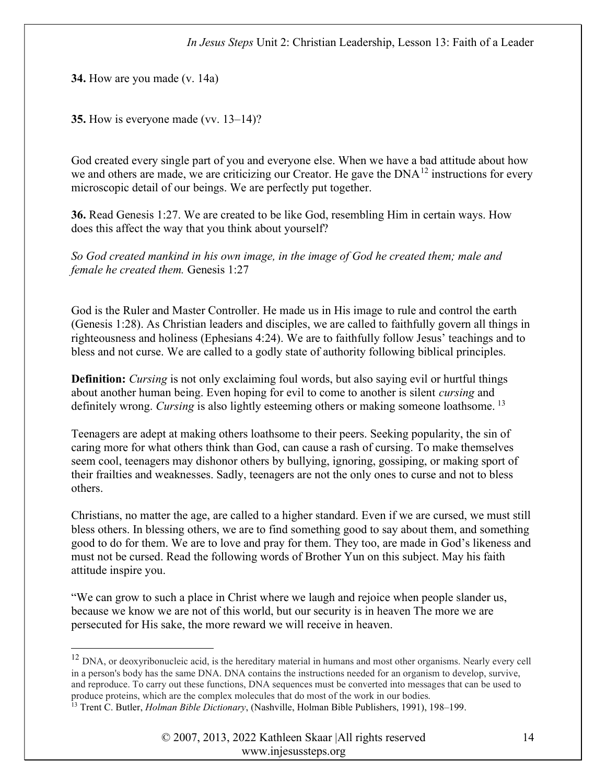34. How are you made (v. 14a)

35. How is everyone made (vv. 13–14)?

God created every single part of you and everyone else. When we have a bad attitude about how we and others are made, we are criticizing our Creator. He gave the  $DNA^{12}$  instructions for every microscopic detail of our beings. We are perfectly put together.

36. Read Genesis 1:27. We are created to be like God, resembling Him in certain ways. How does this affect the way that you think about yourself?

So God created mankind in his own image, in the image of God he created them; male and female he created them. Genesis 1:27

God is the Ruler and Master Controller. He made us in His image to rule and control the earth (Genesis 1:28). As Christian leaders and disciples, we are called to faithfully govern all things in righteousness and holiness (Ephesians 4:24). We are to faithfully follow Jesus' teachings and to bless and not curse. We are called to a godly state of authority following biblical principles.

**Definition:** Cursing is not only exclaiming foul words, but also saying evil or hurtful things about another human being. Even hoping for evil to come to another is silent cursing and definitely wrong. Cursing is also lightly esteeming others or making someone loathsome.<sup>13</sup>

Teenagers are adept at making others loathsome to their peers. Seeking popularity, the sin of caring more for what others think than God, can cause a rash of cursing. To make themselves seem cool, teenagers may dishonor others by bullying, ignoring, gossiping, or making sport of their frailties and weaknesses. Sadly, teenagers are not the only ones to curse and not to bless others.

Christians, no matter the age, are called to a higher standard. Even if we are cursed, we must still bless others. In blessing others, we are to find something good to say about them, and something good to do for them. We are to love and pray for them. They too, are made in God's likeness and must not be cursed. Read the following words of Brother Yun on this subject. May his faith attitude inspire you.

"We can grow to such a place in Christ where we laugh and rejoice when people slander us, because we know we are not of this world, but our security is in heaven The more we are persecuted for His sake, the more reward we will receive in heaven.

<sup>&</sup>lt;sup>12</sup> DNA, or deoxyribonucleic acid, is the hereditary material in humans and most other organisms. Nearly every cell in a person's body has the same DNA. DNA contains the instructions needed for an organism to develop, survive, and reproduce. To carry out these functions, DNA sequences must be converted into messages that can be used to produce proteins, which are the complex molecules that do most of the work in our bodies. <sup>13</sup> Trent C. Butler, *Holman Bible Dictionary*, (Nashville, Holman Bible Publishers, 1991), 198–199.

<sup>© 2007, 2013, 2022</sup> Kathleen Skaar |All rights reserved www.injesussteps.org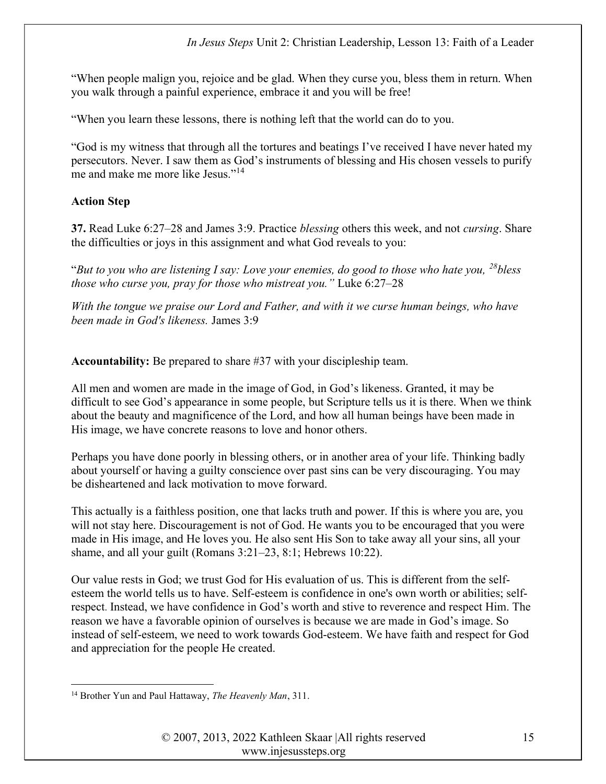"When people malign you, rejoice and be glad. When they curse you, bless them in return. When you walk through a painful experience, embrace it and you will be free!

"When you learn these lessons, there is nothing left that the world can do to you.

"God is my witness that through all the tortures and beatings I've received I have never hated my persecutors. Never. I saw them as God's instruments of blessing and His chosen vessels to purify me and make me more like Jesus."<sup>14</sup>

# Action Step

37. Read Luke 6:27–28 and James 3:9. Practice *blessing* others this week, and not *cursing*. Share the difficulties or joys in this assignment and what God reveals to you:

"But to you who are listening I say: Love your enemies, do good to those who hate you,  $^{28}$ bless those who curse you, pray for those who mistreat you." Luke 6:27–28

With the tongue we praise our Lord and Father, and with it we curse human beings, who have been made in God's likeness. James 3:9

Accountability: Be prepared to share #37 with your discipleship team.

All men and women are made in the image of God, in God's likeness. Granted, it may be difficult to see God's appearance in some people, but Scripture tells us it is there. When we think about the beauty and magnificence of the Lord, and how all human beings have been made in His image, we have concrete reasons to love and honor others.

Perhaps you have done poorly in blessing others, or in another area of your life. Thinking badly about yourself or having a guilty conscience over past sins can be very discouraging. You may be disheartened and lack motivation to move forward.

This actually is a faithless position, one that lacks truth and power. If this is where you are, you will not stay here. Discouragement is not of God. He wants you to be encouraged that you were made in His image, and He loves you. He also sent His Son to take away all your sins, all your shame, and all your guilt (Romans 3:21–23, 8:1; Hebrews 10:22).

Our value rests in God; we trust God for His evaluation of us. This is different from the selfesteem the world tells us to have. Self-esteem is confidence in one's own worth or abilities; selfrespect. Instead, we have confidence in God's worth and stive to reverence and respect Him. The reason we have a favorable opinion of ourselves is because we are made in God's image. So instead of self-esteem, we need to work towards God-esteem. We have faith and respect for God and appreciation for the people He created.

<sup>&</sup>lt;sup>14</sup> Brother Yun and Paul Hattaway, The Heavenly Man, 311.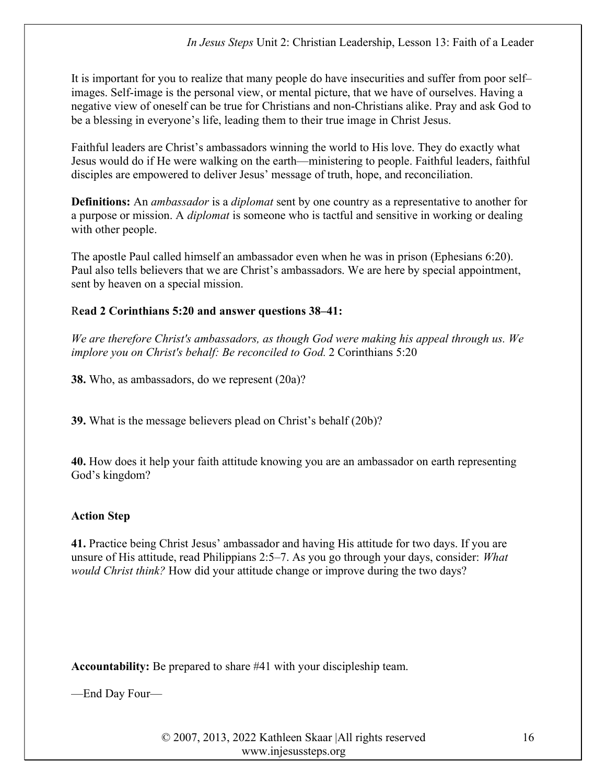It is important for you to realize that many people do have insecurities and suffer from poor self– images. Self-image is the personal view, or mental picture, that we have of ourselves. Having a negative view of oneself can be true for Christians and non-Christians alike. Pray and ask God to be a blessing in everyone's life, leading them to their true image in Christ Jesus.

Faithful leaders are Christ's ambassadors winning the world to His love. They do exactly what Jesus would do if He were walking on the earth—ministering to people. Faithful leaders, faithful disciples are empowered to deliver Jesus' message of truth, hope, and reconciliation.

**Definitions:** An *ambassador* is a *diplomat* sent by one country as a representative to another for a purpose or mission. A diplomat is someone who is tactful and sensitive in working or dealing with other people.

The apostle Paul called himself an ambassador even when he was in prison (Ephesians 6:20). Paul also tells believers that we are Christ's ambassadors. We are here by special appointment, sent by heaven on a special mission.

### Read 2 Corinthians 5:20 and answer questions 38–41:

We are therefore Christ's ambassadors, as though God were making his appeal through us. We implore you on Christ's behalf: Be reconciled to God. 2 Corinthians 5:20

38. Who, as ambassadors, do we represent (20a)?

39. What is the message believers plead on Christ's behalf (20b)?

40. How does it help your faith attitude knowing you are an ambassador on earth representing God's kingdom?

# Action Step

41. Practice being Christ Jesus' ambassador and having His attitude for two days. If you are unsure of His attitude, read Philippians 2:5–7. As you go through your days, consider: *What* would Christ think? How did your attitude change or improve during the two days?

Accountability: Be prepared to share #41 with your discipleship team.

—End Day Four—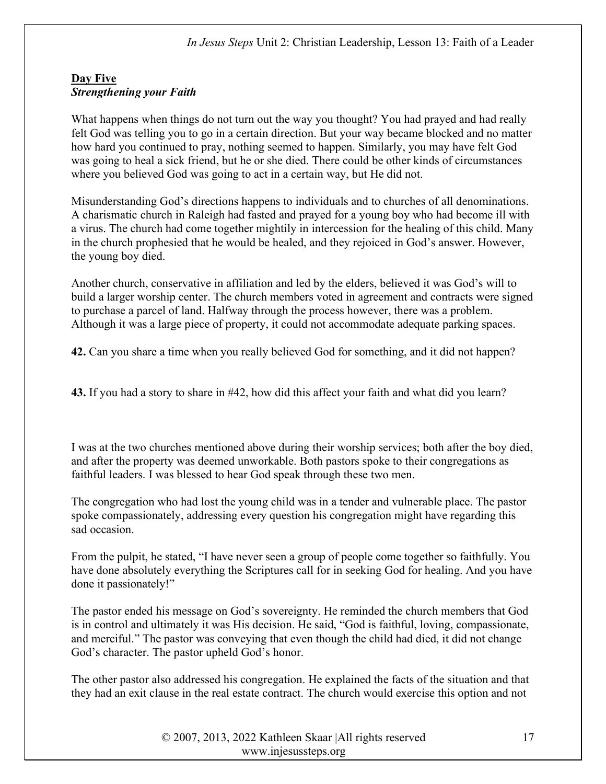### Day Five Strengthening your Faith

What happens when things do not turn out the way you thought? You had prayed and had really felt God was telling you to go in a certain direction. But your way became blocked and no matter how hard you continued to pray, nothing seemed to happen. Similarly, you may have felt God was going to heal a sick friend, but he or she died. There could be other kinds of circumstances where you believed God was going to act in a certain way, but He did not.

Misunderstanding God's directions happens to individuals and to churches of all denominations. A charismatic church in Raleigh had fasted and prayed for a young boy who had become ill with a virus. The church had come together mightily in intercession for the healing of this child. Many in the church prophesied that he would be healed, and they rejoiced in God's answer. However, the young boy died.

Another church, conservative in affiliation and led by the elders, believed it was God's will to build a larger worship center. The church members voted in agreement and contracts were signed to purchase a parcel of land. Halfway through the process however, there was a problem. Although it was a large piece of property, it could not accommodate adequate parking spaces.

42. Can you share a time when you really believed God for something, and it did not happen?

43. If you had a story to share in #42, how did this affect your faith and what did you learn?

I was at the two churches mentioned above during their worship services; both after the boy died, and after the property was deemed unworkable. Both pastors spoke to their congregations as faithful leaders. I was blessed to hear God speak through these two men.

The congregation who had lost the young child was in a tender and vulnerable place. The pastor spoke compassionately, addressing every question his congregation might have regarding this sad occasion.

From the pulpit, he stated, "I have never seen a group of people come together so faithfully. You have done absolutely everything the Scriptures call for in seeking God for healing. And you have done it passionately!"

The pastor ended his message on God's sovereignty. He reminded the church members that God is in control and ultimately it was His decision. He said, "God is faithful, loving, compassionate, and merciful." The pastor was conveying that even though the child had died, it did not change God's character. The pastor upheld God's honor.

The other pastor also addressed his congregation. He explained the facts of the situation and that they had an exit clause in the real estate contract. The church would exercise this option and not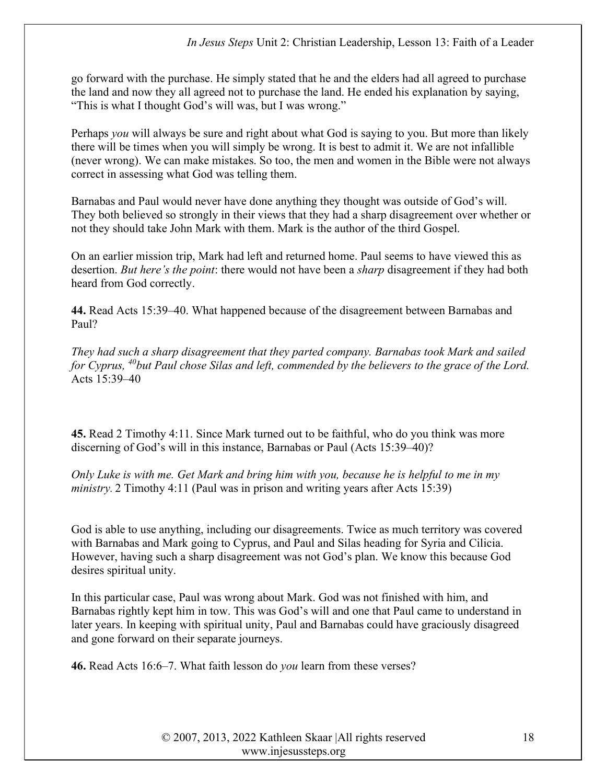go forward with the purchase. He simply stated that he and the elders had all agreed to purchase the land and now they all agreed not to purchase the land. He ended his explanation by saying, "This is what I thought God's will was, but I was wrong."

Perhaps you will always be sure and right about what God is saying to you. But more than likely there will be times when you will simply be wrong. It is best to admit it. We are not infallible (never wrong). We can make mistakes. So too, the men and women in the Bible were not always correct in assessing what God was telling them.

Barnabas and Paul would never have done anything they thought was outside of God's will. They both believed so strongly in their views that they had a sharp disagreement over whether or not they should take John Mark with them. Mark is the author of the third Gospel.

On an earlier mission trip, Mark had left and returned home. Paul seems to have viewed this as desertion. But here's the point: there would not have been a sharp disagreement if they had both heard from God correctly.

44. Read Acts 15:39–40. What happened because of the disagreement between Barnabas and Paul?

They had such a sharp disagreement that they parted company. Barnabas took Mark and sailed for Cyprus,  $^{40}$ but Paul chose Silas and left, commended by the believers to the grace of the Lord. Acts 15:39–40

45. Read 2 Timothy 4:11. Since Mark turned out to be faithful, who do you think was more discerning of God's will in this instance, Barnabas or Paul (Acts 15:39–40)?

Only Luke is with me. Get Mark and bring him with you, because he is helpful to me in my ministry. 2 Timothy 4:11 (Paul was in prison and writing years after Acts 15:39)

God is able to use anything, including our disagreements. Twice as much territory was covered with Barnabas and Mark going to Cyprus, and Paul and Silas heading for Syria and Cilicia. However, having such a sharp disagreement was not God's plan. We know this because God desires spiritual unity.

In this particular case, Paul was wrong about Mark. God was not finished with him, and Barnabas rightly kept him in tow. This was God's will and one that Paul came to understand in later years. In keeping with spiritual unity, Paul and Barnabas could have graciously disagreed and gone forward on their separate journeys.

46. Read Acts 16:6–7. What faith lesson do you learn from these verses?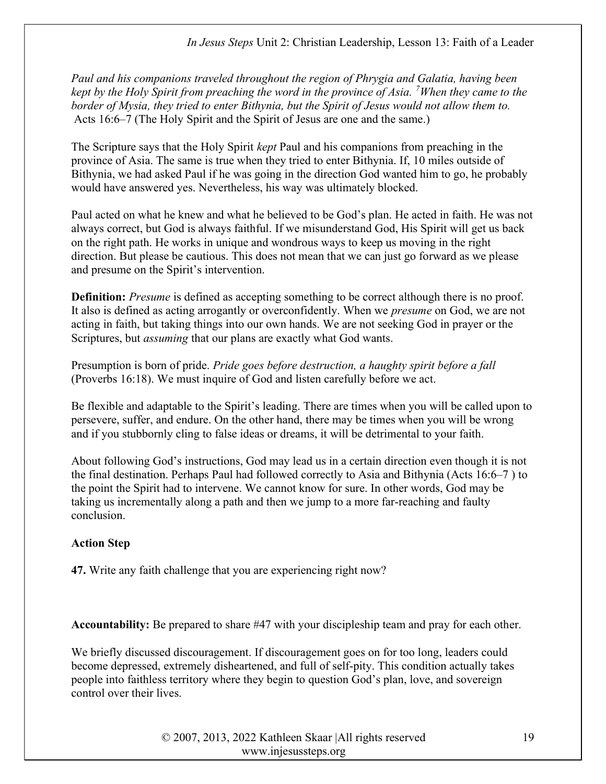Paul and his companions traveled throughout the region of Phrygia and Galatia, having been kept by the Holy Spirit from preaching the word in the province of Asia. <sup>7</sup>When they came to the border of Mysia, they tried to enter Bithynia, but the Spirit of Jesus would not allow them to. Acts 16:6–7 (The Holy Spirit and the Spirit of Jesus are one and the same.)

The Scripture says that the Holy Spirit *kept* Paul and his companions from preaching in the province of Asia. The same is true when they tried to enter Bithynia. If, 10 miles outside of Bithynia, we had asked Paul if he was going in the direction God wanted him to go, he probably would have answered yes. Nevertheless, his way was ultimately blocked.

Paul acted on what he knew and what he believed to be God's plan. He acted in faith. He was not always correct, but God is always faithful. If we misunderstand God, His Spirit will get us back on the right path. He works in unique and wondrous ways to keep us moving in the right direction. But please be cautious. This does not mean that we can just go forward as we please and presume on the Spirit's intervention.

**Definition:** Presume is defined as accepting something to be correct although there is no proof. It also is defined as acting arrogantly or overconfidently. When we presume on God, we are not acting in faith, but taking things into our own hands. We are not seeking God in prayer or the Scriptures, but assuming that our plans are exactly what God wants.

Presumption is born of pride. Pride goes before destruction, a haughty spirit before a fall (Proverbs 16:18). We must inquire of God and listen carefully before we act.

Be flexible and adaptable to the Spirit's leading. There are times when you will be called upon to persevere, suffer, and endure. On the other hand, there may be times when you will be wrong and if you stubbornly cling to false ideas or dreams, it will be detrimental to your faith.

About following God's instructions, God may lead us in a certain direction even though it is not the final destination. Perhaps Paul had followed correctly to Asia and Bithynia (Acts 16:6–7 ) to the point the Spirit had to intervene. We cannot know for sure. In other words, God may be taking us incrementally along a path and then we jump to a more far-reaching and faulty conclusion.

# Action Step

47. Write any faith challenge that you are experiencing right now?

Accountability: Be prepared to share #47 with your discipleship team and pray for each other.

We briefly discussed discouragement. If discouragement goes on for too long, leaders could become depressed, extremely disheartened, and full of self-pity. This condition actually takes people into faithless territory where they begin to question God's plan, love, and sovereign control over their lives.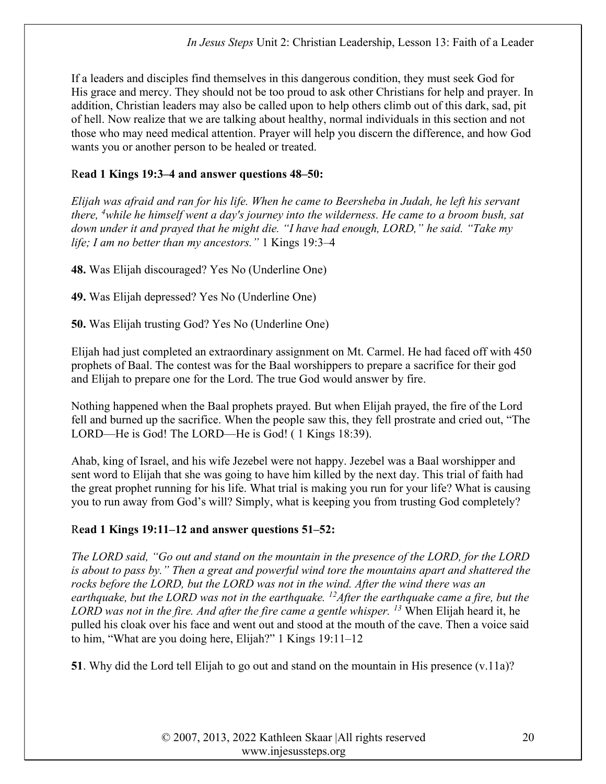If a leaders and disciples find themselves in this dangerous condition, they must seek God for His grace and mercy. They should not be too proud to ask other Christians for help and prayer. In addition, Christian leaders may also be called upon to help others climb out of this dark, sad, pit of hell. Now realize that we are talking about healthy, normal individuals in this section and not those who may need medical attention. Prayer will help you discern the difference, and how God wants you or another person to be healed or treated.

### Read 1 Kings 19:3–4 and answer questions 48–50:

Elijah was afraid and ran for his life. When he came to Beersheba in Judah, he left his servant there,  $\frac{4}{3}$ while he himself went a day's journey into the wilderness. He came to a broom bush, sat down under it and prayed that he might die. "I have had enough, LORD," he said. "Take my life; I am no better than my ancestors." 1 Kings 19:3-4

48. Was Elijah discouraged? Yes No (Underline One)

49. Was Elijah depressed? Yes No (Underline One)

50. Was Elijah trusting God? Yes No (Underline One)

Elijah had just completed an extraordinary assignment on Mt. Carmel. He had faced off with 450 prophets of Baal. The contest was for the Baal worshippers to prepare a sacrifice for their god and Elijah to prepare one for the Lord. The true God would answer by fire.

Nothing happened when the Baal prophets prayed. But when Elijah prayed, the fire of the Lord fell and burned up the sacrifice. When the people saw this, they fell prostrate and cried out, "The LORD—He is God! The LORD—He is God! ( 1 Kings 18:39).

Ahab, king of Israel, and his wife Jezebel were not happy. Jezebel was a Baal worshipper and sent word to Elijah that she was going to have him killed by the next day. This trial of faith had the great prophet running for his life. What trial is making you run for your life? What is causing you to run away from God's will? Simply, what is keeping you from trusting God completely?

# Read 1 Kings 19:11–12 and answer questions 51–52:

The LORD said, "Go out and stand on the mountain in the presence of the LORD, for the LORD is about to pass by." Then a great and powerful wind tore the mountains apart and shattered the rocks before the LORD, but the LORD was not in the wind. After the wind there was an earthquake, but the LORD was not in the earthquake. <sup>12</sup> After the earthquake came a fire, but the LORD was not in the fire. And after the fire came a gentle whisper. <sup>13</sup> When Elijah heard it, he pulled his cloak over his face and went out and stood at the mouth of the cave. Then a voice said to him, "What are you doing here, Elijah?" 1 Kings 19:11–12

51. Why did the Lord tell Elijah to go out and stand on the mountain in His presence (v.11a)?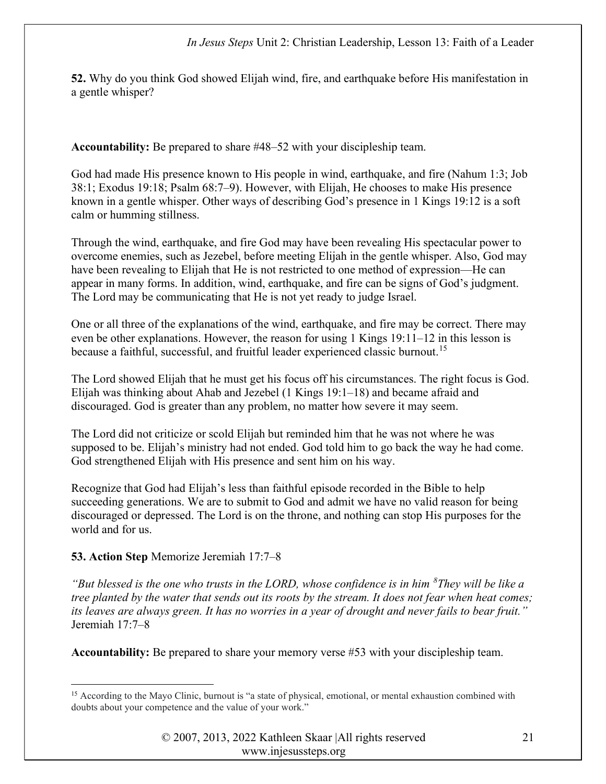52. Why do you think God showed Elijah wind, fire, and earthquake before His manifestation in a gentle whisper?

Accountability: Be prepared to share #48–52 with your discipleship team.

God had made His presence known to His people in wind, earthquake, and fire (Nahum 1:3; Job 38:1; Exodus 19:18; Psalm 68:7–9). However, with Elijah, He chooses to make His presence known in a gentle whisper. Other ways of describing God's presence in 1 Kings 19:12 is a soft calm or humming stillness.

Through the wind, earthquake, and fire God may have been revealing His spectacular power to overcome enemies, such as Jezebel, before meeting Elijah in the gentle whisper. Also, God may have been revealing to Elijah that He is not restricted to one method of expression—He can appear in many forms. In addition, wind, earthquake, and fire can be signs of God's judgment. The Lord may be communicating that He is not yet ready to judge Israel.

One or all three of the explanations of the wind, earthquake, and fire may be correct. There may even be other explanations. However, the reason for using 1 Kings 19:11–12 in this lesson is because a faithful, successful, and fruitful leader experienced classic burnout.<sup>15</sup>

The Lord showed Elijah that he must get his focus off his circumstances. The right focus is God. Elijah was thinking about Ahab and Jezebel (1 Kings 19:1–18) and became afraid and discouraged. God is greater than any problem, no matter how severe it may seem.

The Lord did not criticize or scold Elijah but reminded him that he was not where he was supposed to be. Elijah's ministry had not ended. God told him to go back the way he had come. God strengthened Elijah with His presence and sent him on his way.

Recognize that God had Elijah's less than faithful episode recorded in the Bible to help succeeding generations. We are to submit to God and admit we have no valid reason for being discouraged or depressed. The Lord is on the throne, and nothing can stop His purposes for the world and for us.

# 53. Action Step Memorize Jeremiah 17:7–8

"But blessed is the one who trusts in the LORD, whose confidence is in him  ${}^{8}$ They will be like a tree planted by the water that sends out its roots by the stream. It does not fear when heat comes; its leaves are always green. It has no worries in a year of drought and never fails to bear fruit." Jeremiah 17:7–8

Accountability: Be prepared to share your memory verse #53 with your discipleship team.

<sup>&</sup>lt;sup>15</sup> According to the Mayo Clinic, burnout is "a state of physical, emotional, or mental exhaustion combined with doubts about your competence and the value of your work."